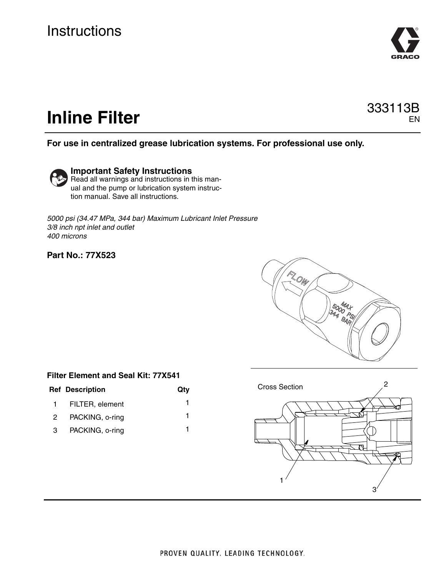

#### 333113B EN

# **Inline Filter**

#### **For use in centralized grease lubrication systems. For professional use only.**

**Important Safety Instructions** Read all warnings and instructions in this manual and the pump or lubrication system instruction manual. Save all instructions.

*5000 psi (34.47 MPa, 344 bar) Maximum Lubricant Inlet Pressure 3/8 inch npt inlet and outlet 400 microns*

#### **Part No.: 77X523**



#### **Filter Element and Seal Kit: 77X541**

|   | <b>Ref Description</b> | Qty |
|---|------------------------|-----|
|   | 1 FILTER, element      |     |
| 2 | PACKING, o-ring        |     |
| 3 | PACKING, o-ring        |     |